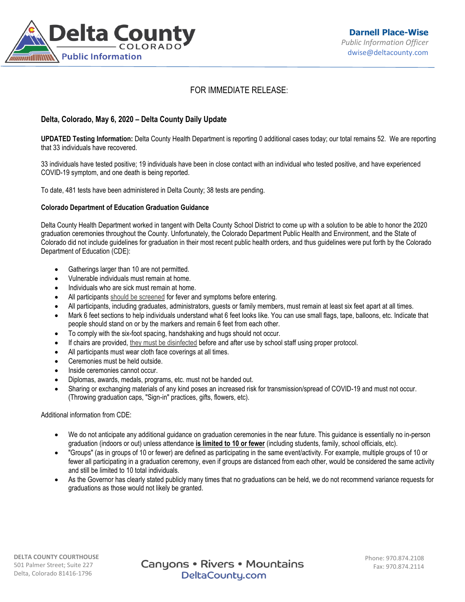

# FOR IMMEDIATE RELEASE:

## **Delta, Colorado, May 6, 2020 – Delta County Daily Update**

**UPDATED Testing Information:** Delta County Health Department is reporting 0 additional cases today; our total remains 52. We are reporting that 33 individuals have recovered.

33 individuals have tested positive; 19 individuals have been in close contact with an individual who tested positive, and have experienced COVID-19 symptom, and one death is being reported.

To date, 481 tests have been administered in Delta County; 38 tests are pending.

#### **Colorado Department of Education Graduation Guidance**

Delta County Health Department worked in tangent with Delta County School District to come up with a solution to be able to honor the 2020 graduation ceremonies throughout the County. Unfortunately, the Colorado Department Public Health and Environment, and the State of Colorado did not include guidelines for graduation in their most recent public health orders, and thus guidelines were put forth by the Colorado Department of Education (CDE):

- Gatherings larger than 10 are not permitted.
- Vulnerable individuals must remain at home.
- Individuals who are sick must remain at home.
- All participants [should be screened](https://covid19.colorado.gov/symptom-screening) for fever and symptoms before entering.
- All participants, including graduates, administrators, guests or family members, must remain at least six feet apart at all times.
- Mark 6 feet sections to help individuals understand what 6 feet looks like. You can use small flags, tape, balloons, etc. Indicate that people should stand on or by the markers and remain 6 feet from each other.
- To comply with the six-foot spacing, handshaking and hugs should not occur.
- If chairs are provided, [they must be disinfected](https://www.cdc.gov/coronavirus/2019-ncov/community/disinfecting-building-facility.html) before and after use by school staff using proper protocol.
- All participants must wear cloth face coverings at all times.
- Ceremonies must be held outside.
- Inside ceremonies cannot occur.
- Diplomas, awards, medals, programs, etc. must not be handed out.
- Sharing or exchanging materials of any kind poses an increased risk for transmission/spread of COVID-19 and must not occur. (Throwing graduation caps, "Sign-in" practices, gifts, flowers, etc).

Additional information from CDE:

- We do not anticipate any additional guidance on graduation ceremonies in the near future. This guidance is essentially no in-person graduation (indoors or out) unless attendance **is limited to 10 or fewer** (including students, family, school officials, etc).
- "Groups" (as in groups of 10 or fewer) are defined as participating in the same event/activity. For example, multiple groups of 10 or fewer all participating in a graduation ceremony, even if groups are distanced from each other, would be considered the same activity and still be limited to 10 total individuals.
- As the Governor has clearly stated publicly many times that no graduations can be held, we do not recommend variance requests for graduations as those would not likely be granted.